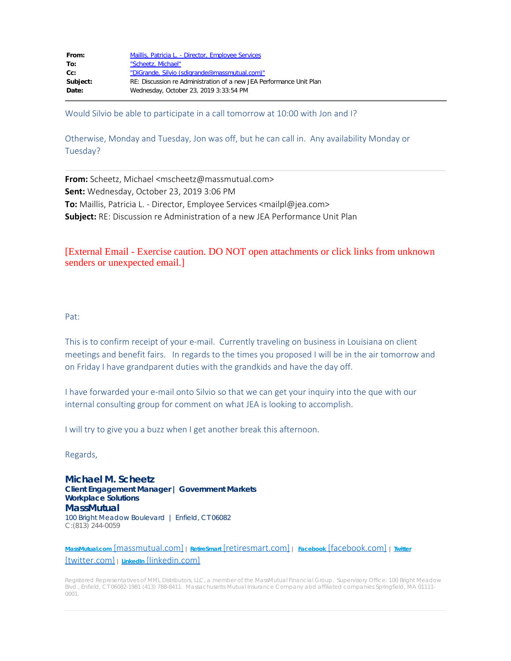| From:    | Maillis, Patricia L. - Director, Employee Services                  |
|----------|---------------------------------------------------------------------|
| To:      | "Scheetz, Michael"                                                  |
| cc:      | "DiGrande, Silvio (sdigrande@massmutual.com)"                       |
| Subject: | RE: Discussion re Administration of a new JEA Performance Unit Plan |
| Date:    | Wednesday, October 23, 2019 3:33:54 PM                              |
|          |                                                                     |

Would Silvio be able to participate in a call tomorrow at 10:00 with Jon and I?

Otherwise, Monday and Tuesday, Jon was off, but he can call in. Any availability Monday or Tuesday?

**From:** Scheetz, Michael <mscheetz@massmutual.com> **Sent:** Wednesday, October 23, 2019 3:06 PM **To:** Maillis, Patricia L. - Director, Employee Services <mailpl@jea.com> **Subject:** RE: Discussion re Administration of a new JEA Performance Unit Plan

# [External Email - Exercise caution. DO NOT open attachments or click links from unknown senders or unexpected email.]

### Pat:

This is to confirm receipt of your e-mail. Currently traveling on business in Louisiana on client meetings and benefit fairs. In regards to the times you proposed I will be in the air tomorrow and on Friday I have grandparent duties with the grandkids and have the day off.

I have forwarded your e-mail onto Silvio so that we can get your inquiry into the que with our internal consulting group for comment on what JEA is looking to accomplish.

I will try to give you a buzz when I get another break this afternoon.

Regards,

**Michael M. Scheetz Client Engagement Manager | Government Markets Workplace Solutions MassMutual** 100 Bright Meadow Boulevard | Enfield, CT 06082 C:(813) 244-0059

**MassMutual.com** [\[massmutual.com\]](https://urldefense.proofpoint.com/v2/url?u=http-3A__www.massmutual.com_&d=DwMFAg&c=c0bxDqEgwAsdU6tOGkHaIQ&r=ruUC46917L10PjmwvZfkxQ&m=x21MW_BlOMKa_8BR-m7zfhPGT_Z3sncAt1hS_fm3Jhg&s=srIE1gUgzkRyGP0jQbUWoP7wTC8Xv8G_SfRgDtiO_WE&e=) **<sup>|</sup> RetireSmart** [\[retiresmart.com\]](https://urldefense.proofpoint.com/v2/url?u=http-3A__www.retiresmart.com_&d=DwMFAg&c=c0bxDqEgwAsdU6tOGkHaIQ&r=ruUC46917L10PjmwvZfkxQ&m=x21MW_BlOMKa_8BR-m7zfhPGT_Z3sncAt1hS_fm3Jhg&s=LKwSeDMzBkfV5CCGmQNYpVU84xlQvIWsB7obGig6RyM&e=) **<sup>|</sup> Facebook** [\[facebook.com\]](https://urldefense.proofpoint.com/v2/url?u=https-3A__www.facebook.com_massmutual&d=DwMFAg&c=c0bxDqEgwAsdU6tOGkHaIQ&r=ruUC46917L10PjmwvZfkxQ&m=x21MW_BlOMKa_8BR-m7zfhPGT_Z3sncAt1hS_fm3Jhg&s=3j3F2rRekOHHDAGmHXAStU-Ta_tDwDJoinnnuoAmLCI&e=) **<sup>|</sup> [Twitter](https://urldefense.proofpoint.com/v2/url?u=https-3A__twitter.com_massmutual&d=DwMFAg&c=c0bxDqEgwAsdU6tOGkHaIQ&r=ruUC46917L10PjmwvZfkxQ&m=x21MW_BlOMKa_8BR-m7zfhPGT_Z3sncAt1hS_fm3Jhg&s=tEXPXSmA8pPyxOhMGqA3lQ8Nm6hkRzdCZgLaFPTCc3k&e=)** [\[twitter.com\]](https://urldefense.proofpoint.com/v2/url?u=https-3A__twitter.com_massmutual&d=DwMFAg&c=c0bxDqEgwAsdU6tOGkHaIQ&r=ruUC46917L10PjmwvZfkxQ&m=x21MW_BlOMKa_8BR-m7zfhPGT_Z3sncAt1hS_fm3Jhg&s=tEXPXSmA8pPyxOhMGqA3lQ8Nm6hkRzdCZgLaFPTCc3k&e=) **<sup>|</sup> LinkedIn** [\[linkedin.com\]](https://urldefense.proofpoint.com/v2/url?u=http-3A__www.linkedin.com_company_massmutual-2Dfinancial-2Dgroup&d=DwMFAg&c=c0bxDqEgwAsdU6tOGkHaIQ&r=ruUC46917L10PjmwvZfkxQ&m=x21MW_BlOMKa_8BR-m7zfhPGT_Z3sncAt1hS_fm3Jhg&s=BvBg1lA053I5qw-ph1BSdmb9I3y8nR-IFUnmA2r-Sak&e=)

Registered Representatives of MML Distributors, LLC, a member of the MassMutual Financial Group. Supervisory Office: 100 Bright Meadow Blvd., Enfield, CT 06082-1981 (413) 788-8411. Massachusetts Mutual Insurance Company abd affiliated companies Springfield, MA 01111- 0001.